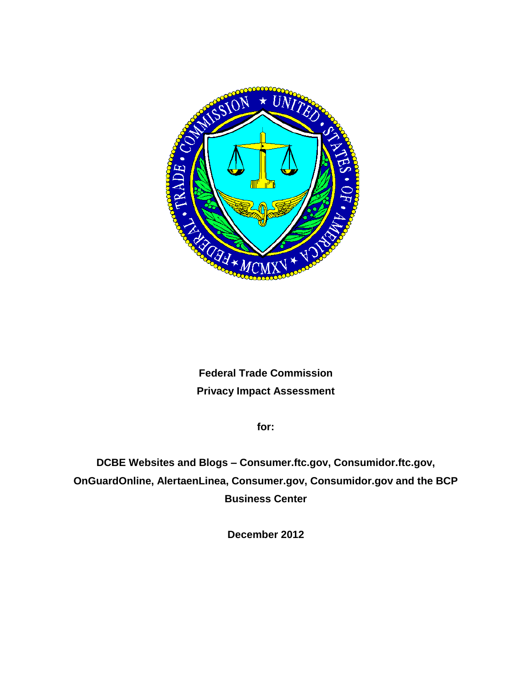

# **Federal Trade Commission Privacy Impact Assessment**

**for:**

**DCBE Websites and Blogs – Consumer.ftc.gov, Consumidor.ftc.gov, OnGuardOnline, AlertaenLinea, Consumer.gov, Consumidor.gov and the BCP Business Center**

**December 2012**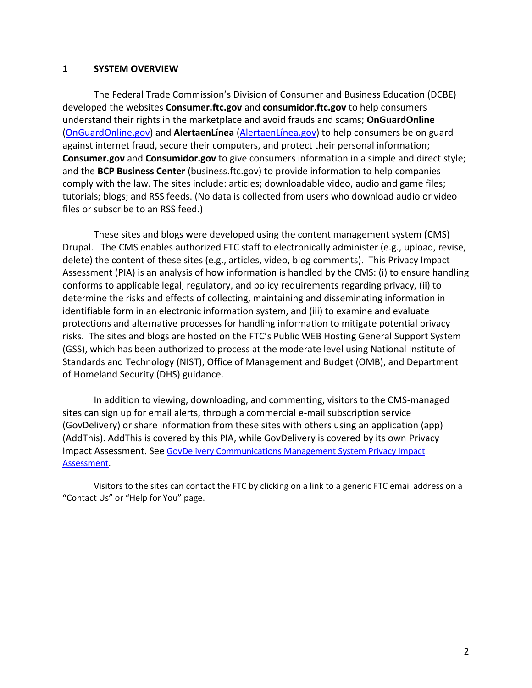#### **1 SYSTEM OVERVIEW**

The Federal Trade Commission's Division of Consumer and Business Education (DCBE) developed the websites **Consumer.ftc.gov** and **consumidor.ftc.gov** to help consumers understand their rights in the marketplace and avoid frauds and scams; **OnGuardOnline** [\(OnGuardOnline.gov\)](http://www.onguardonline.gov/) and **AlertaenLínea** [\(AlertaenLínea.gov\)](http://www.alertaenlínea.gov/) to help consumers be on guard against internet fraud, secure their computers, and protect their personal information; **Consumer.gov** and **Consumidor.gov** to give consumers information in a simple and direct style; and the **BCP Business Center** (business.ftc.gov) to provide information to help companies comply with the law. The sites include: articles; downloadable video, audio and game files; tutorials; blogs; and RSS feeds. (No data is collected from users who download audio or video files or subscribe to an RSS feed.)

These sites and blogs were developed using the content management system (CMS) Drupal. The CMS enables authorized FTC staff to electronically administer (e.g., upload, revise, delete) the content of these sites (e.g., articles, video, blog comments). This Privacy Impact Assessment (PIA) is an analysis of how information is handled by the CMS: (i) to ensure handling conforms to applicable legal, regulatory, and policy requirements regarding privacy, (ii) to determine the risks and effects of collecting, maintaining and disseminating information in identifiable form in an electronic information system, and (iii) to examine and evaluate protections and alternative processes for handling information to mitigate potential privacy risks. The sites and blogs are hosted on the FTC's Public WEB Hosting General Support System (GSS), which has been authorized to process at the moderate level using National Institute of Standards and Technology (NIST), Office of Management and Budget (OMB), and Department of Homeland Security (DHS) guidance.

In addition to viewing, downloading, and commenting, visitors to the CMS-managed sites can sign up for email alerts, through a commercial e-mail subscription service (GovDelivery) or share information from these sites with others using an application (app) (AddThis). AddThis is covered by this PIA, while GovDelivery is covered by its own Privacy Impact Assessment. See [GovDelivery Communications Management System Privacy Impact](http://www.ftc.gov/os/2010/08/1008govdelivery.pdf)  [Assessment.](http://www.ftc.gov/os/2010/08/1008govdelivery.pdf)

Visitors to the sites can contact the FTC by clicking on a link to a generic FTC email address on a "Contact Us" or "Help for You" page.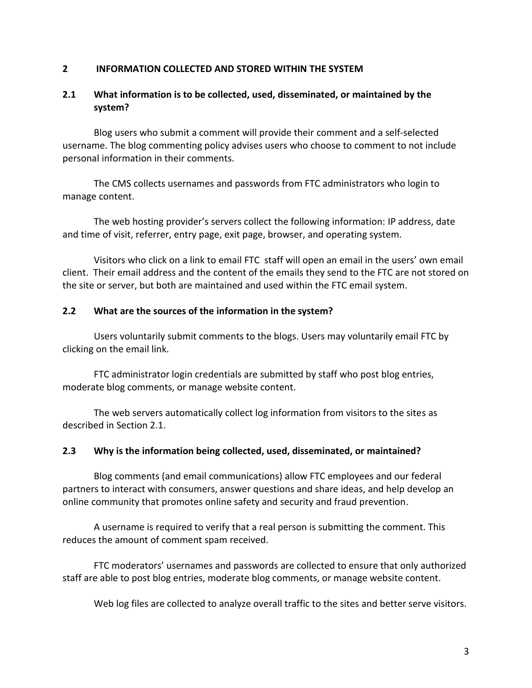#### **2 INFORMATION COLLECTED AND STORED WITHIN THE SYSTEM**

# **2.1 What information is to be collected, used, disseminated, or maintained by the system?**

Blog users who submit a comment will provide their comment and a self-selected username. The blog commenting policy advises users who choose to comment to not include personal information in their comments.

The CMS collects usernames and passwords from FTC administrators who login to manage content.

The web hosting provider's servers collect the following information: IP address, date and time of visit, referrer, entry page, exit page, browser, and operating system.

Visitors who click on a link to email FTC staff will open an email in the users' own email client. Their email address and the content of the emails they send to the FTC are not stored on the site or server, but both are maintained and used within the FTC email system.

#### **2.2 What are the sources of the information in the system?**

Users voluntarily submit comments to the blogs. Users may voluntarily email FTC by clicking on the email link.

FTC administrator login credentials are submitted by staff who post blog entries, moderate blog comments, or manage website content.

The web servers automatically collect log information from visitors to the sites as described in Section 2.1.

## **2.3 Why is the information being collected, used, disseminated, or maintained?**

Blog comments (and email communications) allow FTC employees and our federal partners to interact with consumers, answer questions and share ideas, and help develop an online community that promotes online safety and security and fraud prevention.

A username is required to verify that a real person is submitting the comment. This reduces the amount of comment spam received.

FTC moderators' usernames and passwords are collected to ensure that only authorized staff are able to post blog entries, moderate blog comments, or manage website content.

Web log files are collected to analyze overall traffic to the sites and better serve visitors.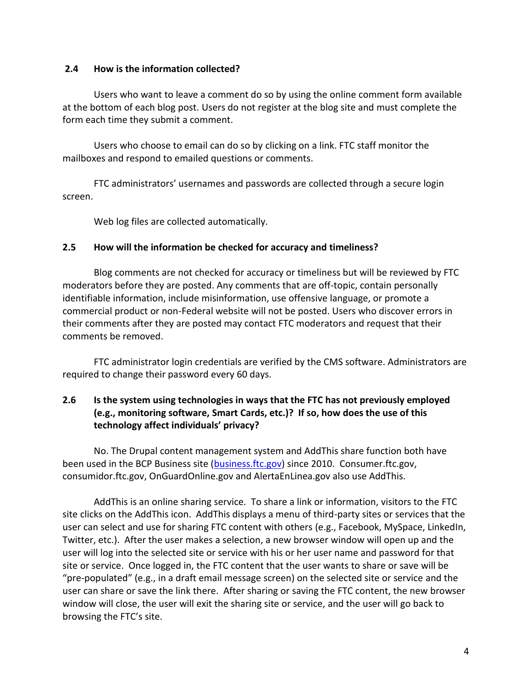#### **2.4 How is the information collected?**

Users who want to leave a comment do so by using the online comment form available at the bottom of each blog post. Users do not register at the blog site and must complete the form each time they submit a comment.

Users who choose to email can do so by clicking on a link. FTC staff monitor the mailboxes and respond to emailed questions or comments.

FTC administrators' usernames and passwords are collected through a secure login screen.

Web log files are collected automatically.

#### **2.5 How will the information be checked for accuracy and timeliness?**

Blog comments are not checked for accuracy or timeliness but will be reviewed by FTC moderators before they are posted. Any comments that are off-topic, contain personally identifiable information, include misinformation, use offensive language, or promote a commercial product or non-Federal website will not be posted. Users who discover errors in their comments after they are posted may contact FTC moderators and request that their comments be removed.

FTC administrator login credentials are verified by the CMS software. Administrators are required to change their password every 60 days.

# **2.6 Is the system using technologies in ways that the FTC has not previously employed (e.g., monitoring software, Smart Cards, etc.)? If so, how does the use of this technology affect individuals' privacy?**

No. The Drupal content management system and AddThis share function both have been used in the BCP Business site [\(business.ftc.gov\)](http://www.business.ftc.gov/) since 2010. Consumer.ftc.gov, consumidor.ftc.gov, OnGuardOnline.gov and AlertaEnLinea.gov also use AddThis.

AddThis is an online sharing service. To share a link or information, visitors to the FTC site clicks on the AddThis icon. AddThis displays a menu of third-party sites or services that the user can select and use for sharing FTC content with others (e.g., Facebook, MySpace, LinkedIn, Twitter, etc.). After the user makes a selection, a new browser window will open up and the user will log into the selected site or service with his or her user name and password for that site or service. Once logged in, the FTC content that the user wants to share or save will be "pre-populated" (e.g., in a draft email message screen) on the selected site or service and the user can share or save the link there. After sharing or saving the FTC content, the new browser window will close, the user will exit the sharing site or service, and the user will go back to browsing the FTC's site.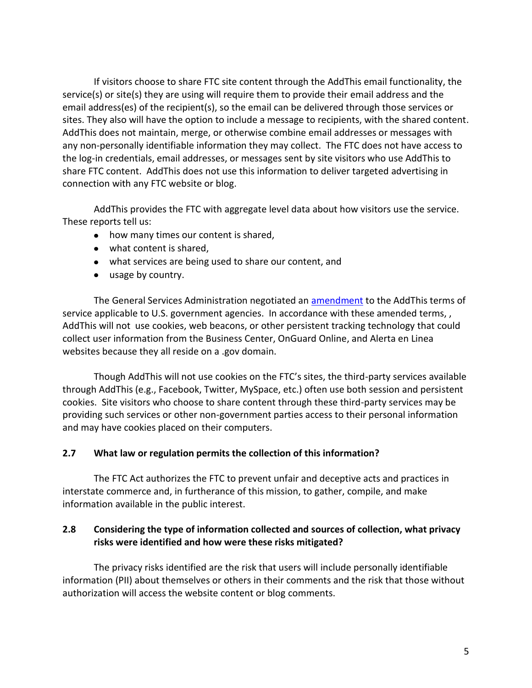If visitors choose to share FTC site content through the AddThis email functionality, the service(s) or site(s) they are using will require them to provide their email address and the email address(es) of the recipient(s), so the email can be delivered through those services or sites. They also will have the option to include a message to recipients, with the shared content. AddThis does not maintain, merge, or otherwise combine email addresses or messages with any non-personally identifiable information they may collect. The FTC does not have access to the log-in credentials, email addresses, or messages sent by site visitors who use AddThis to share FTC content. AddThis does not use this information to deliver targeted advertising in connection with any FTC website or blog.

AddThis provides the FTC with aggregate level data about how visitors use the service. These reports tell us:

- how many times our content is shared,
- what content is shared,
- what services are being used to share our content, and
- usage by country.

The General Services Administration negotiated an [amendment](https://forum.webcontent.gov/resource/resmgr/terms_of_service_w_socmed/addthistos_4.30.09_final_uns.pdf) to the AddThis terms of service applicable to U.S. government agencies. In accordance with these amended terms, , AddThis will not use cookies, web beacons, or other persistent tracking technology that could collect user information from the Business Center, OnGuard Online, and Alerta en Linea websites because they all reside on a .gov domain.

Though AddThis will not use cookies on the FTC's sites, the third-party services available through AddThis (e.g., Facebook, Twitter, MySpace, etc.) often use both session and persistent cookies. Site visitors who choose to share content through these third-party services may be providing such services or other non-government parties access to their personal information and may have cookies placed on their computers.

## **2.7 What law or regulation permits the collection of this information?**

The FTC Act authorizes the FTC to prevent unfair and deceptive acts and practices in interstate commerce and, in furtherance of this mission, to gather, compile, and make information available in the public interest.

## **2.8 Considering the type of information collected and sources of collection, what privacy risks were identified and how were these risks mitigated?**

The privacy risks identified are the risk that users will include personally identifiable information (PII) about themselves or others in their comments and the risk that those without authorization will access the website content or blog comments.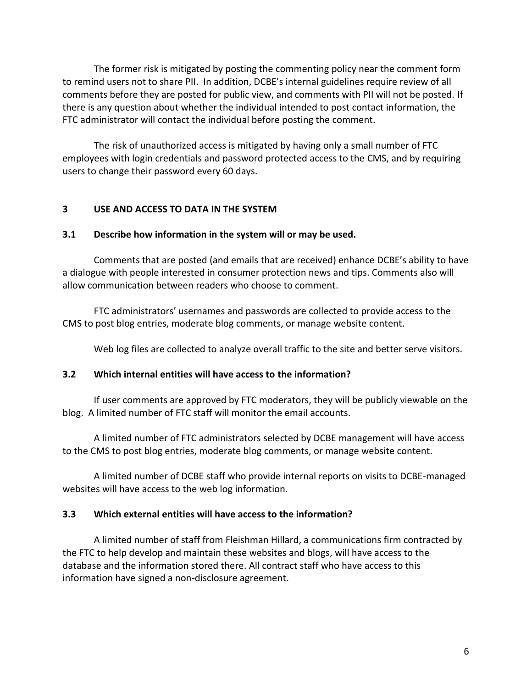The former risk is mitigated by posting the commenting policy near the comment form to remind users not to share PII. In addition, DCBE's internal guidelines require review of all comments before they are posted for public view, and comments with PII will not be posted. If there is any question about whether the individual intended to post contact information, the FTC administrator will contact the individual before posting the comment.

The risk of unauthorized access is mitigated by having only a small number of FTC employees with login credentials and password protected access to the CMS, and by requiring users to change their password every 60 days.

#### **3 USE AND ACCESS TO DATA IN THE SYSTEM**

#### **3.1 Describe how information in the system will or may be used.**

Comments that are posted (and emails that are received) enhance DCBE's ability to have a dialogue with people interested in consumer protection news and tips. Comments also will allow communication between readers who choose to comment.

FTC administrators' usernames and passwords are collected to provide access to the CMS to post blog entries, moderate blog comments, or manage website content.

Web log files are collected to analyze overall traffic to the site and better serve visitors.

#### **3.2 Which internal entities will have access to the information?**

If user comments are approved by FTC moderators, they will be publicly viewable on the blog. A limited number of FTC staff will monitor the email accounts.

A limited number of FTC administrators selected by DCBE management will have access to the CMS to post blog entries, moderate blog comments, or manage website content.

A limited number of DCBE staff who provide internal reports on visits to DCBE-managed websites will have access to the web log information.

#### **3.3 Which external entities will have access to the information?**

A limited number of staff from Fleishman Hillard, a communications firm contracted by the FTC to help develop and maintain these websites and blogs, will have access to the database and the information stored there. All contract staff who have access to this information have signed a non-disclosure agreement.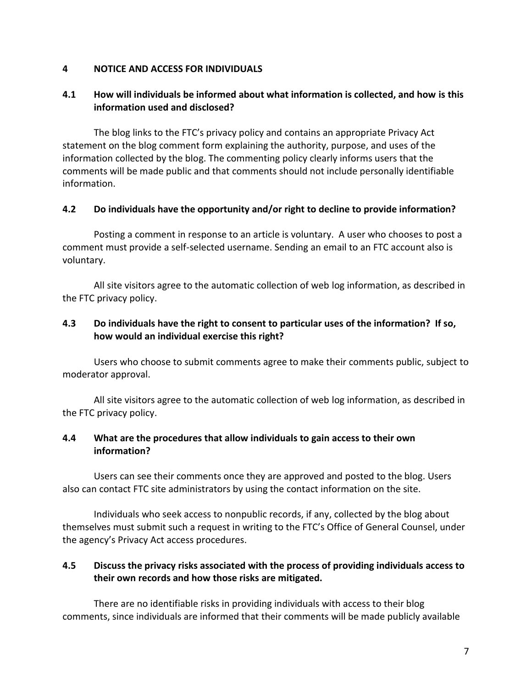#### **4 NOTICE AND ACCESS FOR INDIVIDUALS**

# **4.1 How will individuals be informed about what information is collected, and how is this information used and disclosed?**

The blog links to the FTC's privacy policy and contains an appropriate Privacy Act statement on the blog comment form explaining the authority, purpose, and uses of the information collected by the blog. The commenting policy clearly informs users that the comments will be made public and that comments should not include personally identifiable information.

#### **4.2 Do individuals have the opportunity and/or right to decline to provide information?**

Posting a comment in response to an article is voluntary. A user who chooses to post a comment must provide a self-selected username. Sending an email to an FTC account also is voluntary.

All site visitors agree to the automatic collection of web log information, as described in the FTC privacy policy.

## **4.3 Do individuals have the right to consent to particular uses of the information? If so, how would an individual exercise this right?**

Users who choose to submit comments agree to make their comments public, subject to moderator approval.

All site visitors agree to the automatic collection of web log information, as described in the FTC privacy policy.

## **4.4 What are the procedures that allow individuals to gain access to their own information?**

Users can see their comments once they are approved and posted to the blog. Users also can contact FTC site administrators by using the contact information on the site.

Individuals who seek access to nonpublic records, if any, collected by the blog about themselves must submit such a request in writing to the FTC's Office of General Counsel, under the agency's Privacy Act access procedures.

# **4.5 Discuss the privacy risks associated with the process of providing individuals access to their own records and how those risks are mitigated.**

There are no identifiable risks in providing individuals with access to their blog comments, since individuals are informed that their comments will be made publicly available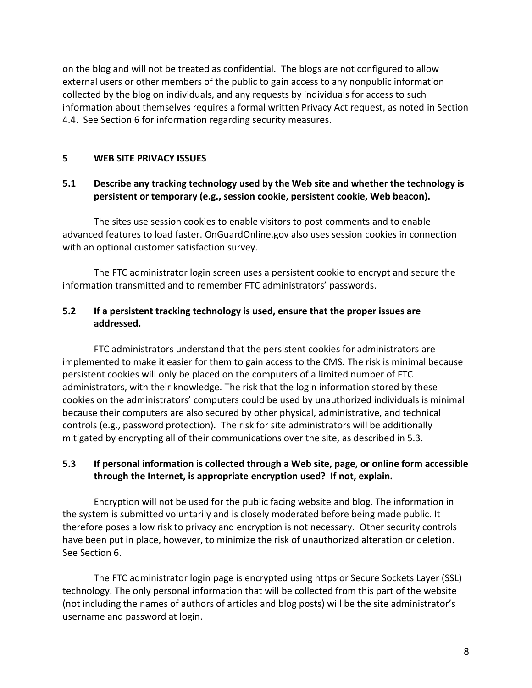on the blog and will not be treated as confidential. The blogs are not configured to allow external users or other members of the public to gain access to any nonpublic information collected by the blog on individuals, and any requests by individuals for access to such information about themselves requires a formal written Privacy Act request, as noted in Section 4.4. See Section 6 for information regarding security measures.

# **5 WEB SITE PRIVACY ISSUES**

# **5.1 Describe any tracking technology used by the Web site and whether the technology is persistent or temporary (e.g., session cookie, persistent cookie, Web beacon).**

The sites use session cookies to enable visitors to post comments and to enable advanced features to load faster. OnGuardOnline.gov also uses session cookies in connection with an optional customer satisfaction survey.

The FTC administrator login screen uses a persistent cookie to encrypt and secure the information transmitted and to remember FTC administrators' passwords.

# **5.2 If a persistent tracking technology is used, ensure that the proper issues are addressed.**

FTC administrators understand that the persistent cookies for administrators are implemented to make it easier for them to gain access to the CMS. The risk is minimal because persistent cookies will only be placed on the computers of a limited number of FTC administrators, with their knowledge. The risk that the login information stored by these cookies on the administrators' computers could be used by unauthorized individuals is minimal because their computers are also secured by other physical, administrative, and technical controls (e.g., password protection). The risk for site administrators will be additionally mitigated by encrypting all of their communications over the site, as described in 5.3.

# **5.3 If personal information is collected through a Web site, page, or online form accessible through the Internet, is appropriate encryption used? If not, explain.**

Encryption will not be used for the public facing website and blog. The information in the system is submitted voluntarily and is closely moderated before being made public. It therefore poses a low risk to privacy and encryption is not necessary. Other security controls have been put in place, however, to minimize the risk of unauthorized alteration or deletion. See Section 6.

The FTC administrator login page is encrypted using https or Secure Sockets Layer (SSL) technology. The only personal information that will be collected from this part of the website (not including the names of authors of articles and blog posts) will be the site administrator's username and password at login.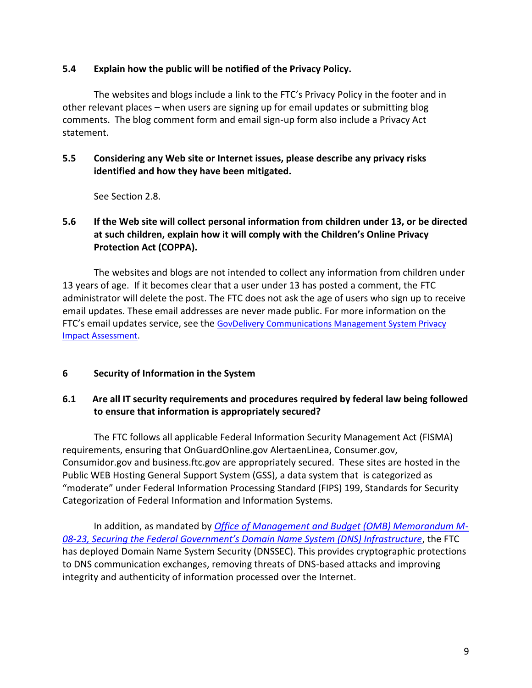#### **5.4 Explain how the public will be notified of the Privacy Policy.**

The websites and blogs include a link to the FTC's Privacy Policy in the footer and in other relevant places – when users are signing up for email updates or submitting blog comments. The blog comment form and email sign-up form also include a Privacy Act statement.

# **5.5 Considering any Web site or Internet issues, please describe any privacy risks identified and how they have been mitigated.**

See Section 2.8.

# **5.6 If the Web site will collect personal information from children under 13, or be directed at such children, explain how it will comply with the Children's Online Privacy Protection Act (COPPA).**

The websites and blogs are not intended to collect any information from children under 13 years of age. If it becomes clear that a user under 13 has posted a comment, the FTC administrator will delete the post. The FTC does not ask the age of users who sign up to receive email updates. These email addresses are never made public. For more information on the FTC's email updates service, see the [GovDelivery Communications Management System Privacy](http://www.ftc.gov/os/2010/08/1008govdelivery.pdf)  [Impact Assessment.](http://www.ftc.gov/os/2010/08/1008govdelivery.pdf)

## **6 Security of Information in the System**

## **6.1 Are all IT security requirements and procedures required by federal law being followed to ensure that information is appropriately secured?**

The FTC follows all applicable Federal Information Security Management Act (FISMA) requirements, ensuring that OnGuardOnline.gov AlertaenLinea, Consumer.gov, Consumidor.gov and business.ftc.gov are appropriately secured. These sites are hosted in the Public WEB Hosting General Support System (GSS), a data system that is categorized as "moderate" under Federal Information Processing Standard (FIPS) 199, Standards for Security Categorization of Federal Information and Information Systems.

In addition, as mandated by *[Office of Management and Budget \(OMB\) Memorandum M-](http://www.whitehouse.gov/sites/default/files/omb/memoranda/fy2008/m08-23.pdf)08-[23, Securing the Federal Government's Domain Name System \(DNS\) Infrastructure](http://www.whitehouse.gov/sites/default/files/omb/memoranda/fy2008/m08-23.pdf)*, the FTC has deployed Domain Name System Security (DNSSEC). This provides cryptographic protections to DNS communication exchanges, removing threats of DNS-based attacks and improving integrity and authenticity of information processed over the Internet.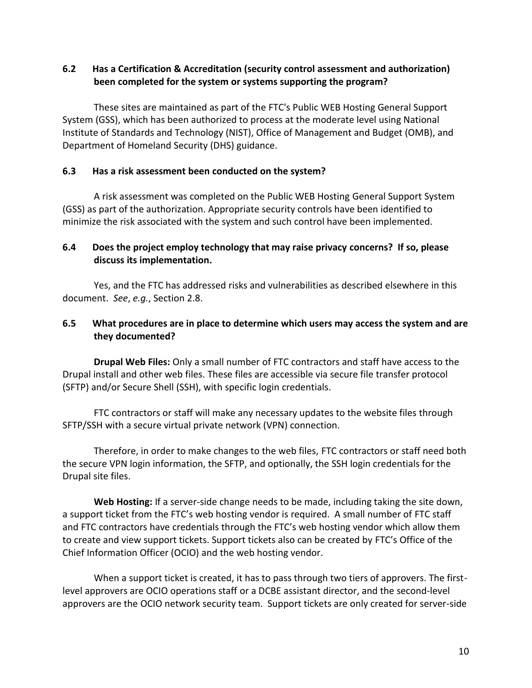# **6.2 Has a Certification & Accreditation (security control assessment and authorization) been completed for the system or systems supporting the program?**

These sites are maintained as part of the FTC's Public WEB Hosting General Support System (GSS), which has been authorized to process at the moderate level using National Institute of Standards and Technology (NIST), Office of Management and Budget (OMB), and Department of Homeland Security (DHS) guidance.

#### **6.3 Has a risk assessment been conducted on the system?**

A risk assessment was completed on the Public WEB Hosting General Support System (GSS) as part of the authorization. Appropriate security controls have been identified to minimize the risk associated with the system and such control have been implemented.

## **6.4 Does the project employ technology that may raise privacy concerns? If so, please discuss its implementation.**

Yes, and the FTC has addressed risks and vulnerabilities as described elsewhere in this document. *See*, *e.g.*, Section 2.8.

#### **6.5 What procedures are in place to determine which users may access the system and are they documented?**

**Drupal Web Files:** Only a small number of FTC contractors and staff have access to the Drupal install and other web files. These files are accessible via secure file transfer protocol (SFTP) and/or Secure Shell (SSH), with specific login credentials.

FTC contractors or staff will make any necessary updates to the website files through SFTP/SSH with a secure virtual private network (VPN) connection.

Therefore, in order to make changes to the web files, FTC contractors or staff need both the secure VPN login information, the SFTP, and optionally, the SSH login credentials for the Drupal site files.

**Web Hosting:** If a server-side change needs to be made, including taking the site down, a support ticket from the FTC's web hosting vendor is required. A small number of FTC staff and FTC contractors have credentials through the FTC's web hosting vendor which allow them to create and view support tickets. Support tickets also can be created by FTC's Office of the Chief Information Officer (OCIO) and the web hosting vendor.

When a support ticket is created, it has to pass through two tiers of approvers. The firstlevel approvers are OCIO operations staff or a DCBE assistant director, and the second-level approvers are the OCIO network security team. Support tickets are only created for server-side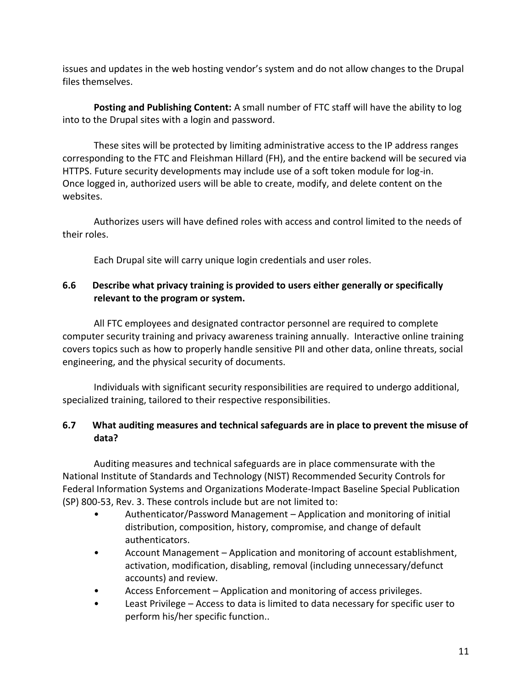issues and updates in the web hosting vendor's system and do not allow changes to the Drupal files themselves.

**Posting and Publishing Content:** A small number of FTC staff will have the ability to log into to the Drupal sites with a login and password.

These sites will be protected by limiting administrative access to the IP address ranges corresponding to the FTC and Fleishman Hillard (FH), and the entire backend will be secured via HTTPS. Future security developments may include use of a soft token module for log-in. Once logged in, authorized users will be able to create, modify, and delete content on the websites.

Authorizes users will have defined roles with access and control limited to the needs of their roles.

Each Drupal site will carry unique login credentials and user roles.

# **6.6 Describe what privacy training is provided to users either generally or specifically relevant to the program or system.**

All FTC employees and designated contractor personnel are required to complete computer security training and privacy awareness training annually. Interactive online training covers topics such as how to properly handle sensitive PII and other data, online threats, social engineering, and the physical security of documents.

Individuals with significant security responsibilities are required to undergo additional, specialized training, tailored to their respective responsibilities.

# **6.7 What auditing measures and technical safeguards are in place to prevent the misuse of data?**

Auditing measures and technical safeguards are in place commensurate with the National Institute of Standards and Technology (NIST) Recommended Security Controls for Federal Information Systems and Organizations Moderate-Impact Baseline Special Publication (SP) 800-53, Rev. 3. These controls include but are not limited to:

- Authenticator/Password Management Application and monitoring of initial distribution, composition, history, compromise, and change of default authenticators.
- Account Management Application and monitoring of account establishment, activation, modification, disabling, removal (including unnecessary/defunct accounts) and review.
- Access Enforcement Application and monitoring of access privileges.
- Least Privilege Access to data is limited to data necessary for specific user to perform his/her specific function..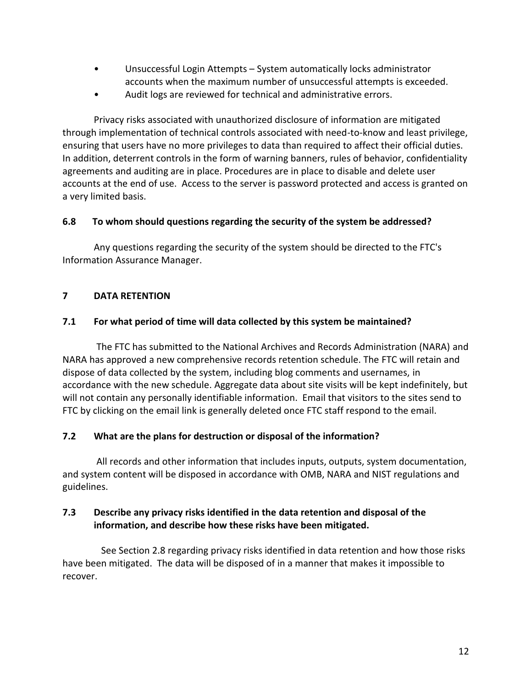- Unsuccessful Login Attempts System automatically locks administrator accounts when the maximum number of unsuccessful attempts is exceeded.
- Audit logs are reviewed for technical and administrative errors.

Privacy risks associated with unauthorized disclosure of information are mitigated through implementation of technical controls associated with need-to-know and least privilege, ensuring that users have no more privileges to data than required to affect their official duties. In addition, deterrent controls in the form of warning banners, rules of behavior, confidentiality agreements and auditing are in place. Procedures are in place to disable and delete user accounts at the end of use. Access to the server is password protected and access is granted on a very limited basis.

## **6.8 To whom should questions regarding the security of the system be addressed?**

Any questions regarding the security of the system should be directed to the FTC's Information Assurance Manager.

## **7 DATA RETENTION**

## **7.1 For what period of time will data collected by this system be maintained?**

The FTC has submitted to the National Archives and Records Administration (NARA) and NARA has approved a new comprehensive records retention schedule. The FTC will retain and dispose of data collected by the system, including blog comments and usernames, in accordance with the new schedule. Aggregate data about site visits will be kept indefinitely, but will not contain any personally identifiable information. Email that visitors to the sites send to FTC by clicking on the email link is generally deleted once FTC staff respond to the email.

## **7.2 What are the plans for destruction or disposal of the information?**

All records and other information that includes inputs, outputs, system documentation, and system content will be disposed in accordance with OMB, NARA and NIST regulations and guidelines.

## **7.3 Describe any privacy risks identified in the data retention and disposal of the information, and describe how these risks have been mitigated.**

 See Section 2.8 regarding privacy risks identified in data retention and how those risks have been mitigated. The data will be disposed of in a manner that makes it impossible to recover.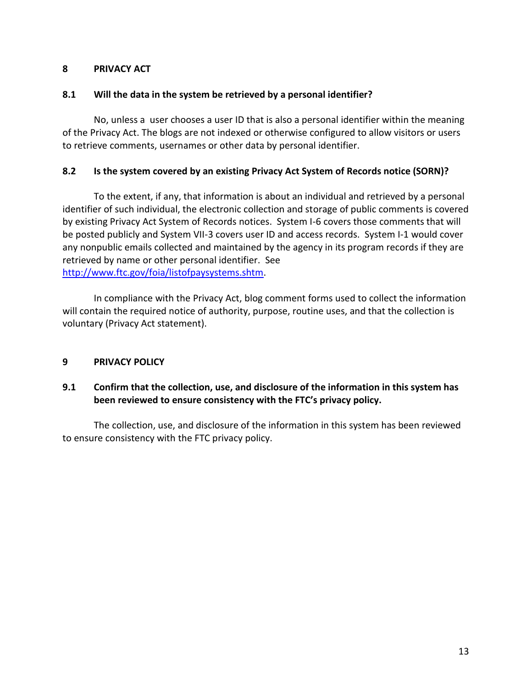## **8 PRIVACY ACT**

#### **8.1 Will the data in the system be retrieved by a personal identifier?**

No, unless a user chooses a user ID that is also a personal identifier within the meaning of the Privacy Act. The blogs are not indexed or otherwise configured to allow visitors or users to retrieve comments, usernames or other data by personal identifier.

#### **8.2 Is the system covered by an existing Privacy Act System of Records notice (SORN)?**

To the extent, if any, that information is about an individual and retrieved by a personal identifier of such individual, the electronic collection and storage of public comments is covered by existing Privacy Act System of Records notices. System I-6 covers those comments that will be posted publicly and System VII-3 covers user ID and access records. System I-1 would cover any nonpublic emails collected and maintained by the agency in its program records if they are retrieved by name or other personal identifier. See [http://www.ftc.gov/foia/listofpaysystems.shtm.](http://www.ftc.gov/foia/listofpaysystems.shtm)

In compliance with the Privacy Act, blog comment forms used to collect the information will contain the required notice of authority, purpose, routine uses, and that the collection is voluntary (Privacy Act statement).

## **9 PRIVACY POLICY**

## **9.1 Confirm that the collection, use, and disclosure of the information in this system has been reviewed to ensure consistency with the FTC's privacy policy.**

The collection, use, and disclosure of the information in this system has been reviewed to ensure consistency with the FTC privacy policy.